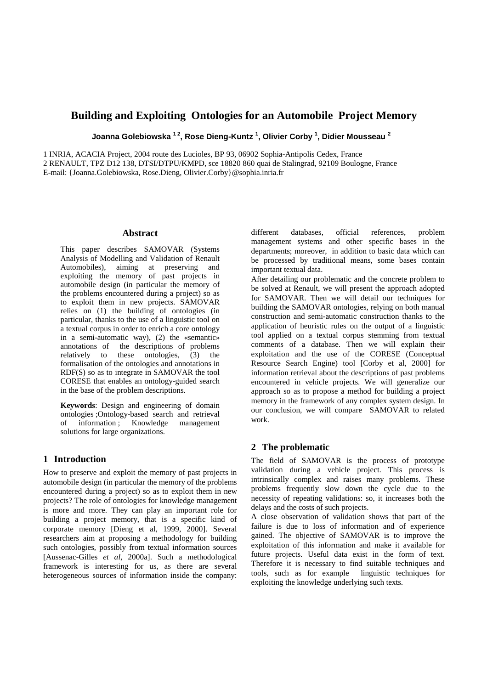# **Building and Exploiting Ontologies for an Automobile Project Memory**

**Joanna Golebiowska 1 2, Rose Dieng-Kuntz <sup>1</sup> , Olivier Corby <sup>1</sup> , Didier Mousseau <sup>2</sup>**

1 INRIA, ACACIA Project, 2004 route des Lucioles, BP 93, 06902 Sophia-Antipolis Cedex, France 2 RENAULT, TPZ D12 138, DTSI/DTPU/KMPD, sce 18820 860 quai de Stalingrad, 92109 Boulogne, France

E-mail: {Joanna.Golebiowska, Rose.Dieng, Olivier.Corby}@sophia.inria.fr

### **Abstract**

This paper describes SAMOVAR (Systems Analysis of Modelling and Validation of Renault Automobiles), aiming at preserving and exploiting the memory of past projects in automobile design (in particular the memory of the problems encountered during a project) so as to exploit them in new projects. SAMOVAR relies on  $(1)$  the building of ontologies (in particular, thanks to the use of a linguistic tool on a textual corpus in order to enrich a core ontology in a semi-automatic way), (2) the «semantic» annotations of the descriptions of problems relatively to these ontologies, (3) the formalisation of the ontologies and annotations in RDF(S) so as to integrate in SAMOVAR the tool CORESE that enables an ontology-guided search in the base of the problem descriptions.

**Keywords**: Design and engineering of domain ontologies ;Ontology-based search and retrieval of information ; Knowledge management solutions for large organizations.

## **1 Introduction**

How to preserve and exploit the memory of past projects in automobile design (in particular the memory of the problems encountered during a project) so as to exploit them in new projects? The role of ontologies for knowledge management is more and more. They can play an important role for building a project memory, that is a specific kind of corporate memory [Dieng et al, 1999, 2000]. Several researchers aim at proposing a methodology for building such ontologies, possibly from textual information sources [Aussenac-Gilles *et al*, 2000a]. Such a methodological framework is interesting for us, as there are several heterogeneous sources of information inside the company:

different databases, official references, problem management systems and other specific bases in the departments; moreover, in addition to basic data which can be processed by traditional means, some bases contain important textual data.

After detailing our problematic and the concrete problem to be solved at Renault, we will present the approach adopted for SAMOVAR. Then we will detail our techniques for building the SAMOVAR ontologies, relying on both manual construction and semi-automatic construction thanks to the application of heuristic rules on the output of a linguistic tool applied on a textual corpus stemming from textual comments of a database. Then we will explain their exploitation and the use of the CORESE (Conceptual Resource Search Engine) tool [Corby et al, 2000] for information retrieval about the descriptions of past problems encountered in vehicle projects. We will generalize our approach so as to propose a method for building a project memory in the framework of any complex system design. In our conclusion, we will compare SAMOVAR to related work.

# **2 The problematic**

The field of SAMOVAR is the process of prototype validation during a vehicle project. This process is intrinsically complex and raises many problems. These problems frequently slow down the cycle due to the necessity of repeating validations: so, it increases both the delays and the costs of such projects.

A close observation of validation shows that part of the failure is due to loss of information and of experience gained. The objective of SAMOVAR is to improve the exploitation of this information and make it available for future projects. Useful data exist in the form of text. Therefore it is necessary to find suitable techniques and tools, such as for example linguistic techniques for exploiting the knowledge underlying such texts.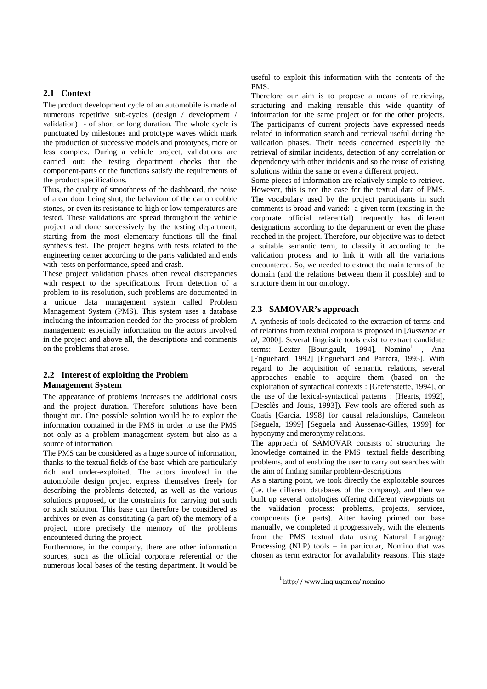# **2.1 Context**

The product development cycle of an automobile is made of numerous repetitive sub-cycles (design / development / validation) - of short or long duration. The whole cycle is punctuated by milestones and prototype waves which mark the production of successive models and prototypes, more or less complex. During a vehicle project, validations are carried out: the testing department checks that the component-parts or the functions satisfy the requirements of the product specifications.

Thus, the quality of smoothness of the dashboard, the noise of a car door being shut, the behaviour of the car on cobble stones, or even its resistance to high or low temperatures are tested. These validations are spread throughout the vehicle project and done successively by the testing department, starting from the most elementary functions till the final synthesis test. The project begins with tests related to the engineering center according to the parts validated and ends with tests on performance, speed and crash.

These project validation phases often reveal discrepancies with respect to the specifications. From detection of a problem to its resolution, such problems are documented in a unique data management system called Problem Management System (PMS). This system uses a database including the information needed for the process of problem management: especially information on the actors involved in the project and above all, the descriptions and comments on the problems that arose.

# **2.2 Interest of exploiting the Problem Management System**

The appearance of problems increases the additional costs and the project duration. Therefore solutions have been thought out. One possible solution would be to exploit the information contained in the PMS in order to use the PMS not only as a problem management system but also as a source of information.

The PMS can be considered as a huge source of information, thanks to the textual fields of the base which are particularly rich and under-exploited. The actors involved in the automobile design project express themselves freely for describing the problems detected, as well as the various solutions proposed, or the constraints for carrying out such or such solution. This base can therefore be considered as archives or even as constituting (a part of) the memory of a project, more precisely the memory of the problems encountered during the project.

Furthermore, in the company, there are other information sources, such as the official corporate referential or the numerous local bases of the testing department. It would be

useful to exploit this information with the contents of the PMS.

Therefore our aim is to propose a means of retrieving, structuring and making reusable this wide quantity of information for the same project or for the other projects. The participants of current projects have expressed needs related to information search and retrieval useful during the validation phases. Their needs concerned especially the retrieval of similar incidents, detection of any correlation or dependency with other incidents and so the reuse of existing solutions within the same or even a different project.

Some pieces of information are relatively simple to retrieve. However, this is not the case for the textual data of PMS. The vocabulary used by the project participants in such comments is broad and varied: a given term (existing in the corporate official referential) frequently has different designations according to the department or even the phase reached in the project. Therefore, our objective was to detect a suitable semantic term, to classify it according to the validation process and to link it with all the variations encountered. So, we needed to extract the main terms of the domain (and the relations between them if possible) and to structure them in our ontology.

### **2.3 SAMOVAR's approach**

A synthesis of tools dedicated to the extraction of terms and of relations from textual corpora is proposed in [*Aussenac et al*, 2000]. Several linguistic tools exist to extract candidate terms: Lexter [Bourigault, 1994], Nomino<sup>1</sup>, Ana [Enguehard, 1992] [Enguehard and Pantera, 1995]. With regard to the acquisition of semantic relations, several approaches enable to acquire them (based on the exploitation of syntactical contexts : [Grefenstette, 1994], or the use of the lexical-syntactical patterns : [Hearts, 1992], [Desclès and Jouis, 1993]). Few tools are offered such as Coatis [Garcia, 1998] for causal relationships, Cameleon [Seguela, 1999] [Seguela and Aussenac-Gilles, 1999] for hyponymy and meronymy relations.

The approach of SAMOVAR consists of structuring the knowledge contained in the PMS textual fields describing problems, and of enabling the user to carry out searches with the aim of finding similar problem-descriptions

As a starting point, we took directly the exploitable sources (i.e. the different databases of the company), and then we built up several ontologies offering different viewpoints on the validation process: problems, projects, services, components (i.e. parts). After having primed our base manually, we completed it progressively, with the elements from the PMS textual data using Natural Language Processing (NLP) tools – in particular, Nomino that was chosen as term extractor for availability reasons. This stage

<sup>1</sup> http://www.ling.uqam.ca/nomino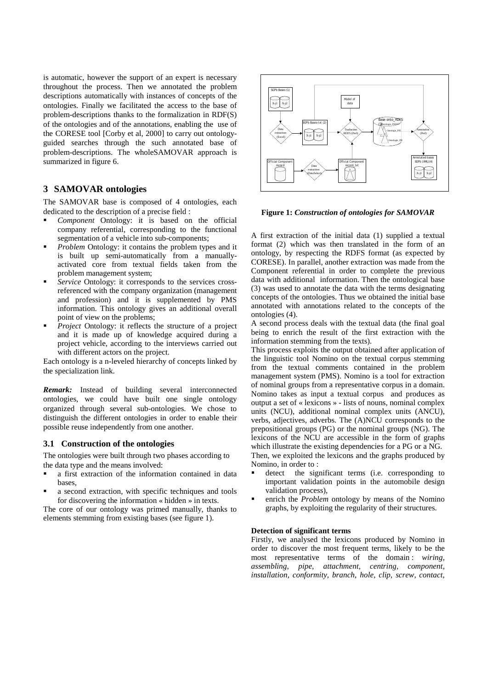is automatic, however the support of an expert is necessary throughout the process. Then we annotated the problem descriptions automatically with instances of concepts of the ontologies. Finally we facilitated the access to the base of problem-descriptions thanks to the formalization in RDF(S) of the ontologies and of the annotations, enabling the use of the CORESE tool [Corby et al, 2000] to carry out ontologyguided searches through the such annotated base of problem-descriptions. The wholeSAMOVAR approach is summarized in figure 6.

## **3 SAMOVAR ontologies**

The SAMOVAR base is composed of 4 ontologies, each dedicated to the description of a precise field :

- ! *Component* Ontology: it is based on the official company referential, corresponding to the functional segmentation of a vehicle into sub-components;
- *Problem* Ontology: it contains the problem types and it is built up semi-automatically from a manuallyactivated core from textual fields taken from the problem management system;
- Service Ontology: it corresponds to the services crossreferenced with the company organization (management and profession) and it is supplemented by PMS information. This ontology gives an additional overall point of view on the problems;
- *Project* Ontology: it reflects the structure of a project and it is made up of knowledge acquired during a project vehicle, according to the interviews carried out with different actors on the project.

Each ontology is a n-leveled hierarchy of concepts linked by the specialization link.

*Remark:* Instead of building several interconnected ontologies, we could have built one single ontology organized through several sub-ontologies. We chose to distinguish the different ontologies in order to enable their possible reuse independently from one another.

### **3.1 Construction of the ontologies**

The ontologies were built through two phases according to the data type and the means involved:

- a first extraction of the information contained in data bases,
- a second extraction, with specific techniques and tools for discovering the information « hidden » in texts.

The core of our ontology was primed manually, thanks to elements stemming from existing bases (see figure 1).



**Figure 1:** *Construction of ontologies for SAMOVAR*

A first extraction of the initial data (1) supplied a textual format (2) which was then translated in the form of an ontology, by respecting the RDFS format (as expected by CORESE). In parallel, another extraction was made from the Component referential in order to complete the previous data with additional information. Then the ontological base (3) was used to annotate the data with the terms designating concepts of the ontologies. Thus we obtained the initial base annotated with annotations related to the concepts of the ontologies (4).

A second process deals with the textual data (the final goal being to enrich the result of the first extraction with the information stemming from the texts).

This process exploits the output obtained after application of the linguistic tool Nomino on the textual corpus stemming from the textual comments contained in the problem management system (PMS). Nomino is a tool for extraction of nominal groups from a representative corpus in a domain. Nomino takes as input a textual corpus and produces as output a set of « lexicons » - lists of nouns, nominal complex units (NCU), additional nominal complex units (ANCU), verbs, adjectives, adverbs. The (A)NCU corresponds to the prepositional groups (PG) or the nominal groups (NG). The lexicons of the NCU are accessible in the form of graphs which illustrate the existing dependencies for a PG or a NG. Then, we exploited the lexicons and the graphs produced by Nomino, in order to :

- detect the significant terms (i.e. corresponding to important validation points in the automobile design validation process),
- enrich the **Problem** ontology by means of the Nomino graphs, by exploiting the regularity of their structures.

### **Detection of significant terms**

Firstly, we analysed the lexicons produced by Nomino in order to discover the most frequent terms, likely to be the most representative terms of the domain : *wiring, assembling, pipe, attachment, centring, component, installation, conformity, branch, hole, clip, screw, contact,*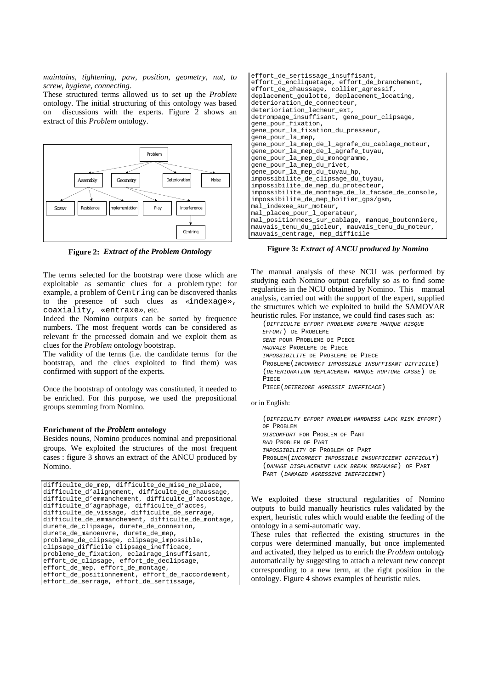*maintains, tightening, paw, position, geometry, nut, to screw, hygiene, connecting*.

These structured terms allowed us to set up the *Problem* ontology. The initial structuring of this ontology was based discussions with the experts. Figure  $\overline{2}$  shows an extract of this *Problem* ontology.



**Figure 2:** *Extract of the Problem Ontology*

The terms selected for the bootstrap were those which are exploitable as semantic clues for a problem type: for example, a problem of Centring can be discovered thanks to the presence of such clues as «indexage», coaxiality, «entraxe», etc.

Indeed the Nomino outputs can be sorted by frequence numbers. The most frequent words can be considered as relevant fr the processed domain and we exploit them as clues for the *Problem* ontology bootstrap.

The validity of the terms (i.e. the candidate terms for the bootstrap, and the clues exploited to find them) was confirmed with support of the experts.

Once the bootstrap of ontology was constituted, it needed to be enriched. For this purpose, we used the prepositional groups stemming from Nomino.

### **Enrichment of the** *Problem* **ontology**

Besides nouns, Nomino produces nominal and prepositional groups. We exploited the structures of the most frequent cases : figure 3 shows an extract of the ANCU produced by Nomino.

```
difficulte de mep, difficulte de mise ne place,
difficulte d'alignement, difficulte de chaussage,
difficulte d' emmanchement, difficulte \overline{d}' accostage,
difficulte_d'agraphage, difficulte_d'acces,
difficulte_de_vissage, difficulte_de_serrage,
difficulte_de_emmanchement, difficulte_de_montage,
durete de clipsage, durete de connexion,
durete_de_manoeuvre, durete_de_mep,
probleme_de_clipsage, clipsage_impossible,
clipsage_difficile clipsage_inefficace,
probleme_de_fixation, eclairage_insuffisant,
-<br>effort de clipsage, effort de declipsage,
effort_de_mep, effort_de_montage,
effort_de_positionnement, effort_de_raccordement,
effort_de_serrage, effort_de_sertissage,
```

| effort de sertissage insuffisant,                 |
|---------------------------------------------------|
| effort_d_encliquetage, effort_de_branchement,     |
| effort de chaussage, collier agressif,            |
| deplacement_goulotte, deplacement_locating,       |
| deterioration de connecteur,                      |
| deterioriation_lecheur_ext,                       |
| detrompage insuffisant, gene pour clipsage,       |
| gene_pour_fixation,                               |
| gene_pour_la_fixation_du_presseur,                |
| gene_pour_la_mep,                                 |
| gene_pour_la_mep_de_l_agrafe_du_cablage_moteur,   |
| gene_pour_la_mep_de_l_agrafe_tuyau,               |
| gene_pour_la_mep_du_monogramme,                   |
| gene_pour_la_mep_du_rivet,                        |
| gene_pour_la_mep_du_tuyau_hp,                     |
| impossibilite_de_clipsage_du_tuyau,               |
| impossibilite_de_mep_du_protecteur,               |
| impossibilite de montage de la facade de console, |
| impossibilite de mep boitier qps/qsm,             |
| mal_indexee_sur_moteur,                           |
| mal_placee_pour_l_operateur,                      |
| mal_positionnees_sur_cablage, manque_boutonniere, |
| mauvais tenu du gicleur, mauvais tenu du moteur,  |
| mauvais_centrage, mep_difficile                   |

**Figure 3:** *Extract of ANCU produced by Nomino*

The manual analysis of these NCU was performed by studying each Nomino output carefully so as to find some regularities in the NCU obtained by Nomino. This manual analysis, carried out with the support of the expert, supplied the structures which we exploited to build the SAMOVAR heuristic rules. For instance, we could find cases such as:

(DIFFICULTE EFFORT PROBLEME DURETE MANQUE RISQUE

EFFORT) DE PROBLEME GENE POUR PROBLEME DE PIECE MAUNAIS PROBLEME DE PIECE IMPOSSIBILITE DE PROBLEME DE PIECE PROBLEME(INCORRECT IMPOSSIBLE INSUFFISANT DIFFICILE) (DETERIORATION DEPLACEMENT MANQUE RUPTURE CASSE) DE PIECE PIECE(DETERIORE AGRESSIF INEFFICACE)

### or in English:

(DIFFICULTY EFFORT PROBLEM HARDNESS LACK RISK EFFORT) OF PROBLEM DISCOMFORT FOR PROBLEM OF PART BAD PROBLEM OF PART IMPOSSIBILITY OF PROBLEM OF PART PROBLEM(INCORRECT IMPOSSIBLE INSUFFICIENT DIFFICULT) (DAMAGE DISPLACEMENT LACK BREAK BREAKAGE) OF PART PART (DAMAGED AGRESSIVE INEFFICIENT)

We exploited these structural regularities of Nomino outputs to build manually heuristics rules validated by the expert, heuristic rules which would enable the feeding of the ontology in a semi-automatic way.

These rules that reflected the existing structures in the corpus were determined manually, but once implemented and activated, they helped us to enrich the *Problem* ontology automatically by suggesting to attach a relevant new concept corresponding to a new term, at the right position in the ontology. Figure 4 shows examples of heuristic rules.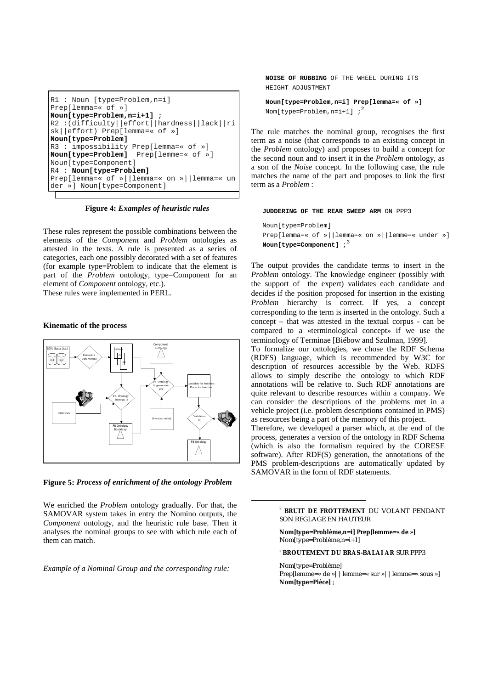```
R1 : Noun [type=Problem,n=i]
Prep[lemma=« of »]
Noun[type=Problem,n=i+1] ;
R2 :(difficulty||effort||hardness||lack||ri
sk||effort) Prep[lemma=« of »]
Noun[type=Problem]
R3 : impossibility Prep[lemma=« of »]
Noun[type=Problem] Prep[lemme=« of »]
Noun[type=Component]
R4 : Noun[type=Problem]
Prep[lemma=« of »||lemma=« on »||lemma=« un
der »] Noun[type=Component]
```
**Figure 4:** *Examples of heuristic rules*

These rules represent the possible combinations between the elements of the *Component* and *Problem* ontologies as attested in the texts. A rule is presented as a series of categories, each one possibly decorated with a set of features (for example type=Problem to indicate that the element is part of the *Problem* ontology, type=Component for an element of *Component* ontology, etc.).

These rules were implemented in PERL.

### **Kinematic of the process**



**Figure 5:** *Process of enrichment of the ontology Problem*

We enriched the *Problem* ontology gradually. For that, the SAMOVAR system takes in entry the Nomino outputs, the *Component* ontology, and the heuristic rule base. Then it analyses the nominal groups to see with which rule each of them can match.

*Example of a Nominal Group and the corresponding rule:*

**NOISE OF RUBBING** OF THE WHEEL DURING ITS HEIGHT ADJUSTMENT

```
Noun[type=Problem,n=i] Prep[lemma=« of »]
Nom[type=Problem, n=i+1] ;<sup>2</sup>
```
The rule matches the nominal group, recognises the first term as a noise (that corresponds to an existing concept in the *Problem* ontology) and proposes to build a concept for the second noun and to insert it in the *Problem* ontology, as a son of the *Noise* concept. In the following case, the rule matches the name of the part and proposes to link the first term as a *Problem* :

#### **JUDDERING OF THE REAR SWEEP ARM** ON PPP3

Noun[type=Problem] Prep[lemma=« of »||lemma=« on »||lemme=« under »] **Noun[type=Component]**  $i<sup>3</sup>$ 

The output provides the candidate terms to insert in the *Problem* ontology. The knowledge engineer (possibly with the support of the expert) validates each candidate and decides if the position proposed for insertion in the existing *Problem* hierarchy is correct. If yes, a concept corresponding to the term is inserted in the ontology. Such a concept – that was attested in the textual corpus - can be compared to a «terminological concept» if we use the terminology of Terminae [Biébow and Szulman, 1999].

To formalize our ontologies, we chose the RDF Schema (RDFS) language, which is recommended by W3C for description of resources accessible by the Web. RDFS allows to simply describe the ontology to which RDF annotations will be relative to. Such RDF annotations are quite relevant to describe resources within a company. We can consider the descriptions of the problems met in a vehicle project (i.e. problem descriptions contained in PMS) as resources being a part of the memory of this project.

Therefore, we developed a parser which, at the end of the process, generates a version of the ontology in RDF Schema (which is also the formalism required by the CORESE software). After RDF(S) generation, the annotations of the PMS problem-descriptions are automatically updated by SAMOVAR in the form of RDF statements.

**Nom[type=Problème,n=i] Prep[lemme=« de »]** Nom[type=Problème,n=i+1]

<sup>2</sup> **BROUTEMENT DU BRAS-BALAI AR** SUR PPP3

Nom[type=Problème] Prep[lemme=« de » | | lemme=« sur » | | lemme=« sous »] **Nom[type=Pièce]** ;

<sup>2</sup> **BRUIT DE FROTTEMENT** DU VOLANT PENDANT SON REGLAGE EN HAUTEUR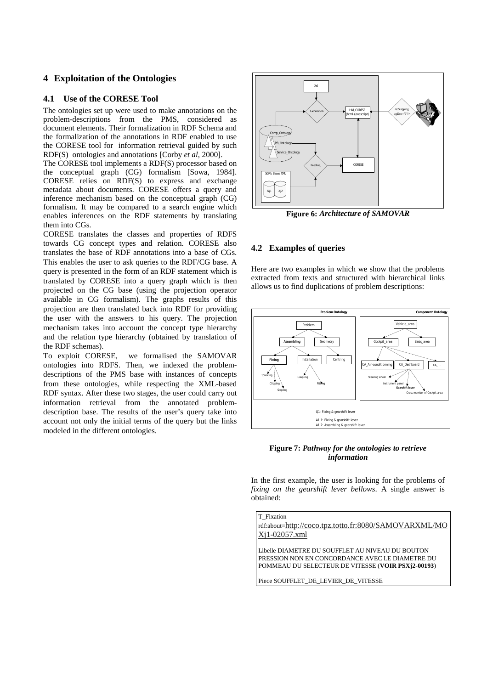# **4 Exploitation of the Ontologies**

## **4.1 Use of the CORESE Tool**

The ontologies set up were used to make annotations on the problem-descriptions from the PMS, considered as document elements. Their formalization in RDF Schema and the formalization of the annotations in RDF enabled to use the CORESE tool for information retrieval guided by such RDF(S) ontologies and annotations [Corby *et al*, 2000].

The CORESE tool implements a RDF(S) processor based on the conceptual graph (CG) formalism [Sowa, 1984]. CORESE relies on RDF(S) to express and exchange metadata about documents. CORESE offers a query and inference mechanism based on the conceptual graph (CG) formalism. It may be compared to a search engine which enables inferences on the RDF statements by translating them into CGs.

CORESE translates the classes and properties of RDFS towards CG concept types and relation. CORESE also translates the base of RDF annotations into a base of CGs. This enables the user to ask queries to the RDF/CG base. A query is presented in the form of an RDF statement which is translated by CORESE into a query graph which is then projected on the CG base (using the projection operator available in CG formalism). The graphs results of this projection are then translated back into RDF for providing the user with the answers to his query. The projection mechanism takes into account the concept type hierarchy and the relation type hierarchy (obtained by translation of the RDF schemas).

To exploit CORESE, we formalised the SAMOVAR ontologies into RDFS. Then, we indexed the problemdescriptions of the PMS base with instances of concepts from these ontologies, while respecting the XML-based RDF syntax. After these two stages, the user could carry out information retrieval from the annotated problemdescription base. The results of the user's query take into account not only the initial terms of the query but the links modeled in the different ontologies.



**Figure 6:** *Architecture of SAMOVAR*

## **4.2 Examples of queries**

Here are two examples in which we show that the problems extracted from texts and structured with hierarchical links allows us to find duplications of problem descriptions:



### **Figure 7:** *Pathway for the ontologies to retrieve information*

In the first example, the user is looking for the problems of *fixing on the gearshift lever bellows*. A single answer is obtained:

T\_Fixation rdf:about=http://coco.tpz.totto.fr:8080/SAMOVARXML/MO Xj1-02057.xml

Libelle DIAMETRE DU SOUFFLET AU NIVEAU DU BOUTON PRESSION NON EN CONCORDANCE AVEC LE DIAMETRE DU POMMEAU DU SELECTEUR DE VITESSE (**VOIR PSXj2-00193**)

Piece SOUFFLET\_DE\_LEVIER\_DE\_VITESSE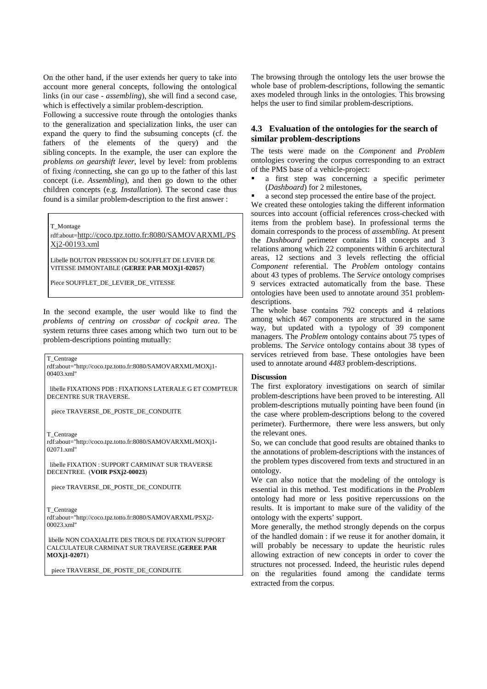On the other hand, if the user extends her query to take into account more general concepts, following the ontological links (in our case - *assembling*), she will find a second case, which is effectively a similar problem-description.

Following a successive route through the ontologies thanks to the generalization and specialization links, the user can expand the query to find the subsuming concepts (cf. the fathers of the elements of the query) and the sibling concepts. In the example, the user can explore the *problems on gearshift lever*, level by level: from problems of fixing /connecting, she can go up to the father of this last concept (i.e. *Assembling*), and then go down to the other children concepts (e.g. *Installation*). The second case thus found is a similar problem-description to the first answer :

T\_Montage

rdf:about=http://coco.tpz.totto.fr:8080/SAMOVARXML/PS Xj2-00193.xml

Libelle BOUTON PRESSION DU SOUFFLET DE LEVIER DE VITESSE IMMONTABLE (**GEREE PAR MOXj1-02057**)

Piece SOUFFLET DE LEVIER DE VITESSE

In the second example, the user would like to find the *problems of centring on crossbar of cockpit area*. The system returns three cases among which two turn out to be problem-descriptions pointing mutually:

T\_Centrage

rdf:about="http://coco.tpz.totto.fr:8080/SAMOVARXML/MOXj1- 00403.xml"

libelle FIXATIONS PDB : FIXATIONS LATERALE G ET COMPTEUR DECENTRE SUR TRAVERSE.

piece TRAVERSE\_DE\_POSTE\_DE\_CONDUITE

T\_Centrage

rdf:about="http://coco.tpz.totto.fr:8080/SAMOVARXML/MOXj1- 02071.xml"

libelle FIXATION : SUPPORT CARMINAT SUR TRAVERSE DECENTREE. (**VOIR PSXj2-00023**)

piece TRAVERSE\_DE\_POSTE\_DE\_CONDUITE

T\_Centrage rdf:about="http://coco.tpz.totto.fr:8080/SAMOVARXML/PSXj2- 00023.xml"

libelle NON COAXIALITE DES TROUS DE FIXATION SUPPORT CALCULATEUR CARMINAT SUR TRAVERSE.(**GEREE PAR MOXj1-02071**)

piece TRAVERSE\_DE\_POSTE\_DE\_CONDUITE

The browsing through the ontology lets the user browse the whole base of problem-descriptions, following the semantic axes modeled through links in the ontologies. This browsing helps the user to find similar problem-descriptions.

# **4.3 Evaluation of the ontologies for the search of similar problem-descriptions**

The tests were made on the *Component* and *Problem* ontologies covering the corpus corresponding to an extract of the PMS base of a vehicle-project:

- a first step was concerning a specific perimeter (*Dashboard*) for 2 milestones,
- a second step processed the entire base of the project.

We created these ontologies taking the different information sources into account (official references cross-checked with items from the problem base). In professional terms the domain corresponds to the process of *assembling*. At present the *Dashboard* perimeter contains 118 concepts and 3 relations among which 22 components within 6 architectural areas, 12 sections and 3 levels reflecting the official *Component* referential. The *Problem* ontology contains about 43 types of problems. The *Service* ontology comprises 9 services extracted automatically from the base. These ontologies have been used to annotate around 351 problemdescriptions.

The whole base contains 792 concepts and 4 relations among which 467 components are structured in the same way, but updated with a typology of 39 component managers. The *Problem* ontology contains about 75 types of problems. The *Service* ontology contains about 38 types of services retrieved from base. These ontologies have been used to annotate around *4483* problem-descriptions.

### **Discussion**

The first exploratory investigations on search of similar problem-descriptions have been proved to be interesting. All problem-descriptions mutually pointing have been found (in the case where problem-descriptions belong to the covered perimeter). Furthermore, there were less answers, but only the relevant ones.

So, we can conclude that good results are obtained thanks to the annotations of problem-descriptions with the instances of the problem types discovered from texts and structured in an ontology.

We can also notice that the modeling of the ontology is essential in this method. Test modifications in the *Problem* ontology had more or less positive repercussions on the results. It is important to make sure of the validity of the ontology with the experts' support.

More generally, the method strongly depends on the corpus of the handled domain : if we reuse it for another domain, it will probably be necessary to update the heuristic rules allowing extraction of new concepts in order to cover the structures not processed. Indeed, the heuristic rules depend on the regularities found among the candidate terms extracted from the corpus.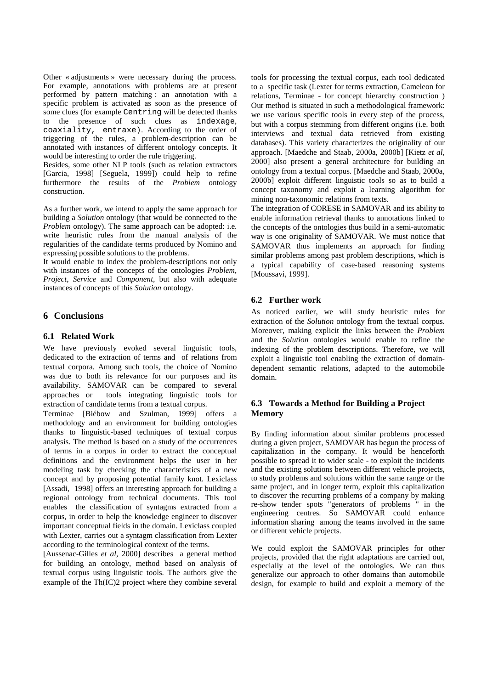Other « adjustments » were necessary during the process. For example, annotations with problems are at present performed by pattern matching : an annotation with a specific problem is activated as soon as the presence of some clues (for example Centring will be detected thanks to the presence of such clues as indexage, coaxiality, entraxe). According to the order of triggering of the rules, a problem-description can be annotated with instances of different ontology concepts. It would be interesting to order the rule triggering.

Besides, some other NLP tools (such as relation extractors [Garcia, 1998] [Seguela, 1999]) could help to refine furthermore the results of the *Problem* ontology construction.

As a further work, we intend to apply the same approach for building a *Solution* ontology (that would be connected to the *Problem* ontology). The same approach can be adopted: i.e. write heuristic rules from the manual analysis of the regularities of the candidate terms produced by Nomino and expressing possible solutions to the problems.

It would enable to index the problem-descriptions not only with instances of the concepts of the ontologies *Problem*, *Project*, *Service* and *Component*, but also with adequate instances of concepts of this *Solution* ontology.

## **6 Conclusions**

## **6.1 Related Work**

We have previously evoked several linguistic tools, dedicated to the extraction of terms and of relations from textual corpora. Among such tools, the choice of Nomino was due to both its relevance for our purposes and its availability. SAMOVAR can be compared to several approaches or tools integrating linguistic tools for extraction of candidate terms from a textual corpus.

Terminae [Biébow and Szulman, 1999] offers a methodology and an environment for building ontologies thanks to linguistic-based techniques of textual corpus analysis. The method is based on a study of the occurrences of terms in a corpus in order to extract the conceptual definitions and the environment helps the user in her modeling task by checking the characteristics of a new concept and by proposing potential family knot. Lexiclass [Assadi, 1998] offers an interesting approach for building a regional ontology from technical documents. This tool enables the classification of syntagms extracted from a corpus, in order to help the knowledge engineer to discover important conceptual fields in the domain. Lexiclass coupled with Lexter, carries out a syntagm classification from Lexter according to the terminological context of the terms.

[Aussenac-Gilles *et al*, 2000] describes a general method for building an ontology, method based on analysis of textual corpus using linguistic tools. The authors give the example of the Th(IC)2 project where they combine several

tools for processing the textual corpus, each tool dedicated to a specific task (Lexter for terms extraction, Cameleon for relations, Terminae - for concept hierarchy construction ) Our method is situated in such a methodological framework: we use various specific tools in every step of the process, but with a corpus stemming from different origins (i.e. both interviews and textual data retrieved from existing databases). This variety characterizes the originality of our approach. [Maedche and Staab, 2000a, 2000b] [Kietz *et al*, 2000] also present a general architecture for building an ontology from a textual corpus. [Maedche and Staab, 2000a, 2000b] exploit different linguistic tools so as to build a concept taxonomy and exploit a learning algorithm for mining non-taxonomic relations from texts.

The integration of CORESE in SAMOVAR and its ability to enable information retrieval thanks to annotations linked to the concepts of the ontologies thus build in a semi-automatic way is one originality of SAMOVAR. We must notice that SAMOVAR thus implements an approach for finding similar problems among past problem descriptions, which is a typical capability of case-based reasoning systems [Moussavi, 1999].

# **6.2 Further work**

As noticed earlier, we will study heuristic rules for extraction of the *Solution* ontology from the textual corpus. Moreover, making explicit the links between the *Problem* and the *Solution* ontologies would enable to refine the indexing of the problem descriptions. Therefore, we will exploit a linguistic tool enabling the extraction of domaindependent semantic relations, adapted to the automobile domain.

# **6.3 Towards a Method for Building a Project Memory**

By finding information about similar problems processed during a given project, SAMOVAR has begun the process of capitalization in the company. It would be henceforth possible to spread it to wider scale - to exploit the incidents and the existing solutions between different vehicle projects, to study problems and solutions within the same range or the same project, and in longer term, exploit this capitalization to discover the recurring problems of a company by making re-show tender spots "generators of problems " in the engineering centres. So SAMOVAR could enhance information sharing among the teams involved in the same or different vehicle projects.

We could exploit the SAMOVAR principles for other projects, provided that the right adaptations are carried out, especially at the level of the ontologies. We can thus generalize our approach to other domains than automobile design, for example to build and exploit a memory of the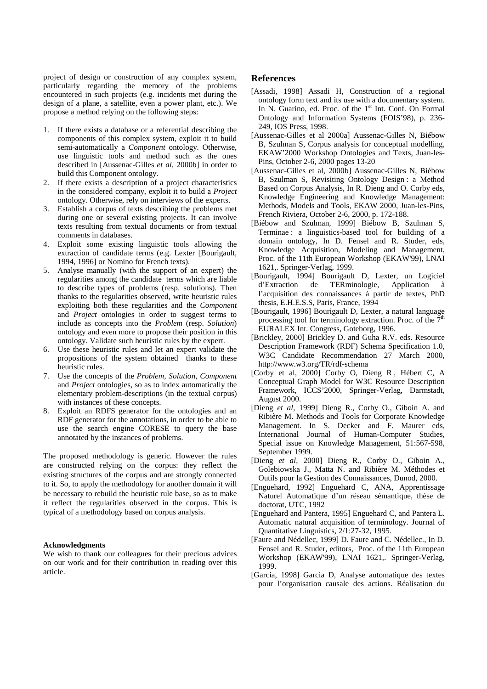project of design or construction of any complex system, particularly regarding the memory of the problems encountered in such projects (e.g. incidents met during the design of a plane, a satellite, even a power plant, etc.). We propose a method relying on the following steps:

- 1. If there exists a database or a referential describing the components of this complex system, exploit it to build semi-automatically a *Component* ontology. Otherwise, use linguistic tools and method such as the ones described in [Aussenac-Gilles *et al*, 2000b] in order to build this Component ontology.
- 2. If there exists a description of a project characteristics in the considered company, exploit it to build a *Project* ontology. Otherwise, rely on interviews of the experts.
- 3. Establish a corpus of texts describing the problems met during one or several existing projects. It can involve texts resulting from textual documents or from textual comments in databases.
- 4. Exploit some existing linguistic tools allowing the extraction of candidate terms (e.g. Lexter [Bourigault, 1994, 1996] or Nomino for French texts).
- 5. Analyse manually (with the support of an expert) the regularities among the candidate terms which are liable to describe types of problems (resp. solutions). Then thanks to the regularities observed, write heuristic rules exploiting both these regularities and the *Component* and *Project* ontologies in order to suggest terms to include as concepts into the *Problem* (resp. *Solution*) ontology and even more to propose their position in this ontology. Validate such heuristic rules by the expert.
- 6. Use these heuristic rules and let an expert validate the propositions of the system obtained thanks to these heuristic rules.
- 7. Use the concepts of the *Problem, Solution, Component* and *Project* ontologies, so as to index automatically the elementary problem-descriptions (in the textual corpus) with instances of these concepts.
- 8. Exploit an RDFS generator for the ontologies and an RDF generator for the annotations, in order to be able to use the search engine CORESE to query the base annotated by the instances of problems.

The proposed methodology is generic. However the rules are constructed relying on the corpus: they reflect the existing structures of the corpus and are strongly connected to it. So, to apply the methodology for another domain it will be necessary to rebuild the heuristic rule base, so as to make it reflect the regularities observed in the corpus. This is typical of a methodology based on corpus analysis.

### **Acknowledgments**

We wish to thank our colleagues for their precious advices on our work and for their contribution in reading over this article.

## **References**

- [Assadi, 1998] Assadi H, Construction of a regional ontology form text and its use with a documentary system. In N. Guarino, ed. Proc. of the 1<sup>st</sup> Int. Conf. On Formal Ontology and Information Systems (FOIS'98), p. 236- 249, IOS Press, 1998.
- [Aussenac-Gilles et al 2000a] Aussenac-Gilles N, Biébow B, Szulman S, Corpus analysis for conceptual modelling, EKAW'2000 Workshop Ontologies and Texts, Juan-les-Pins, October 2-6, 2000 pages 13-20
- [Aussenac-Gilles et al, 2000b] Aussenac-Gilles N, Biébow B, Szulman S, Revisiting Ontology Design : a Method Based on Corpus Analysis, In R. Dieng and O. Corby eds, Knowledge Engineering and Knowledge Management: Methods, Models and Tools, EKAW 2000, Juan-les-Pins, French Riviera, October 2-6, 2000, p. 172-188.
- [Biébow and Szulman, 1999] Biébow B, Szulman S, Terminae : a linguistics-based tool for building of a domain ontology, In D. Fensel and R. Studer, eds, Knowledge Acquisition, Modeling and Management, Proc. of the 11th European Workshop (EKAW'99), LNAI 1621,. Springer-Verlag, 1999.
- [Bourigault, 1994] Bourigault D, Lexter, un Logiciel d'Extraction de TERminologie, Application à l'acquisition des connaissances à partir de textes, PhD thesis, E.H.E.S.S, Paris, France, 1994
- [Bourigault, 1996] Bourigault D, Lexter, a natural language processing tool for terminology extraction. Proc. of the  $7<sup>th</sup>$ EURALEX Int. Congress, Goteborg, 1996.
- [Brickley, 2000] Brickley D. and Guha R.V. eds. Resource Description Framework (RDF) Schema Specification 1.0, W3C Candidate Recommendation 27 March 2000, http://www.w3.org/TR/rdf-schema
- [Corby et al, 2000] Corby O, Dieng R , Hébert C, A Conceptual Graph Model for W3C Resource Description Framework, ICCS'2000, Springer-Verlag, Darmstadt, August 2000.
- [Dieng *et al*, 1999] Dieng R., Corby O., Giboin A. and Ribière M. Methods and Tools for Corporate Knowledge Management. In S. Decker and F. Maurer eds, International Journal of Human-Computer Studies, Special issue on Knowledge Management, 51:567-598, September 1999.
- [Dieng *et al*, 2000] Dieng R., Corby O., Giboin A., Golebiowska J., Matta N. and Ribière M. Méthodes et Outils pour la Gestion des Connaissances, Dunod, 2000.
- [Enguehard, 1992] Enguehard C, ANA, Apprentissage Naturel Automatique d'un réseau sémantique, thèse de doctorat, UTC, 1992
- [Enguehard and Pantera, 1995] Enguehard C, and Pantera L. Automatic natural acquisition of terminology. Journal of Quantitative Linguistics, 2/1:27-32, 1995.
- [Faure and Nédellec, 1999] D. Faure and C. Nédellec., In D. Fensel and R. Studer, editors, Proc. of the 11th European Workshop (EKAW'99), LNAI 1621,. Springer-Verlag, 1999.
- [Garcia, 1998] Garcia D, Analyse automatique des textes pour l'organisation causale des actions. Réalisation du